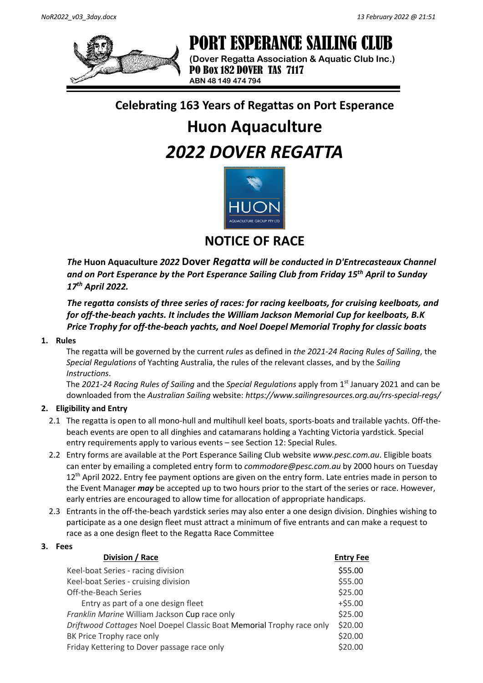

# PORT ESPERANCE SAILING CLUB

**(Dover Regatta Association & Aquatic Club Inc.)** PO Box 182 DOVER TAS 7117 **ABN 48 149 474 794**

# **Celebrating 163 Years of Regattas on Port Esperance**

# **Huon Aquaculture** *2022 DOVER REGATTA*



**NOTICE OF RACE**

*The* **Huon Aquaculture** *2022* **Dover** *Regatta will be conducted in D'Entrecasteaux Channel and on Port Esperance by the Port Esperance Sailing Club from Friday 15th April to Sunday 17th April 2022.*

*The* **r***egatta consists of three series of races: for racing keelboats, for cruising keelboats, and for off-the-beach yachts. It includes the William Jackson Memorial Cup for keelboats, B.K Price Trophy for off-the-beach yachts, and Noel Doepel Memorial Trophy for classic boats*

## **1. Rules**

The regatta will be governed by the current *rules* as defined in *the 2021-24 Racing Rules of Sailing*, the *Special Regulations* of Yachting Australia, the rules of the relevant classes, and by the *Sailing Instructions*.

The *2021-24 Racing Rules of Sailing* and the *Special Regulations* apply from 1st January 2021 and can be downloaded from the *Australian Sailing* website: *https://www.sailingresources.org.au/rrs-special-regs/*

## **2. Eligibility and Entry**

- 2.1 The regatta is open to all mono-hull and multihull keel boats, sports-boats and trailable yachts. Off-thebeach events are open to all dinghies and catamarans holding a Yachting Victoria yardstick. Special entry requirements apply to various events – see Section 12: Special Rules.
- 2.2 Entry forms are available at the Port Esperance Sailing Club website *www.pesc.com.au*. Eligible boats can enter by emailing a completed entry form to *commodore@pesc.com.au* by 2000 hours on Tuesday 12<sup>th</sup> April 2022. Entry fee payment options are given on the entry form. Late entries made in person to the Event Manager *may* be accepted up to two hours prior to the start of the series or race. However, early entries are encouraged to allow time for allocation of appropriate handicaps.
- 2.3 Entrants in the off-the-beach yardstick series may also enter a one design division. Dinghies wishing to participate as a one design fleet must attract a minimum of five entrants and can make a request to race as a one design fleet to the Regatta Race Committee

#### **3. Fees**

| Division / Race                                                       | <b>Entry Fee</b> |
|-----------------------------------------------------------------------|------------------|
| Keel-boat Series - racing division                                    | \$55.00          |
| Keel-boat Series - cruising division                                  | \$55.00          |
| Off-the-Beach Series                                                  | \$25.00          |
| Entry as part of a one design fleet                                   | $+ $5.00$        |
| Franklin Marine William Jackson Cup race only                         | \$25.00          |
| Driftwood Cottages Noel Doepel Classic Boat Memorial Trophy race only | \$20.00          |
| BK Price Trophy race only                                             | \$20.00          |
| Friday Kettering to Dover passage race only                           | \$20.00          |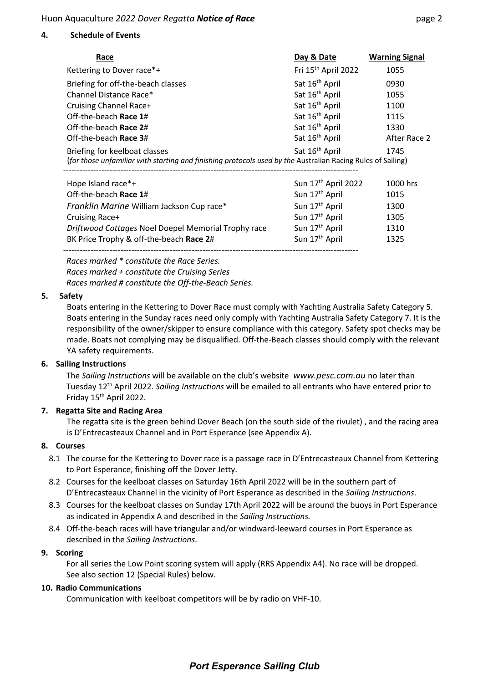#### **4. Schedule of Events**

| Race                                                                                                                                                                               | Day & Date                      | <b>Warning Signal</b> |  |
|------------------------------------------------------------------------------------------------------------------------------------------------------------------------------------|---------------------------------|-----------------------|--|
| Kettering to Dover race*+                                                                                                                                                          | Fri 15 <sup>th</sup> April 2022 | 1055                  |  |
| Briefing for off-the-beach classes                                                                                                                                                 | Sat 16 <sup>th</sup> April      | 0930                  |  |
| Channel Distance Race*                                                                                                                                                             | Sat 16 <sup>th</sup> April      | 1055                  |  |
| Cruising Channel Race+                                                                                                                                                             | Sat 16 <sup>th</sup> April      | 1100                  |  |
| Off-the-beach Race 1#                                                                                                                                                              | Sat 16 <sup>th</sup> April      | 1115                  |  |
| Off-the-beach Race 2#                                                                                                                                                              | Sat 16 <sup>th</sup> April      | 1330                  |  |
| Off-the-beach Race 3#                                                                                                                                                              | Sat 16 <sup>th</sup> April      | After Race 2          |  |
| Sat 16 <sup>th</sup> April<br>1745<br>Briefing for keelboat classes<br>(for those unfamiliar with starting and finishing protocols used by the Australian Racing Rules of Sailing) |                                 |                       |  |
| Hope Island race*+                                                                                                                                                                 | Sun 17 <sup>th</sup> April 2022 | 1000 hrs              |  |
| Off-the-beach Race 1#                                                                                                                                                              | Sun 17 <sup>th</sup> April      | 1015                  |  |
| Franklin Marine William Jackson Cup race*                                                                                                                                          | Sun 17 <sup>th</sup> April      | 1300                  |  |
| Cruising Race+                                                                                                                                                                     | Sun 17 <sup>th</sup> April      | 1305                  |  |
| Driftwood Cottages Noel Doepel Memorial Trophy race                                                                                                                                | Sun 17 <sup>th</sup> April      | 1310                  |  |
| BK Price Trophy & off-the-beach Race 2#                                                                                                                                            | Sun 17 <sup>th</sup> April      | 1325                  |  |

------------------------------------------------------------------------------------------------------------

*Races marked \* constitute the Race Series. Races marked + constitute the Cruising Series Races marked # constitute the Off-the-Beach Series.*

#### **5. Safety**

Boats entering in the Kettering to Dover Race must comply with Yachting Australia Safety Category 5. Boats entering in the Sunday races need only comply with Yachting Australia Safety Category 7. It is the responsibility of the owner/skipper to ensure compliance with this category. Safety spot checks may be made. Boats not complying may be disqualified. Off-the-Beach classes should comply with the relevant YA safety requirements.

#### **6. Sailing Instructions**

The *Sailing Instructions* will be available on the club's website *www.pesc.com.au* no later than Tuesday 12th April 2022. *Sailing Instructions* will be emailed to all entrants who have entered prior to Friday 15th April 2022.

## **7. Regatta Site and Racing Area**

The regatta site is the green behind Dover Beach (on the south side of the rivulet) , and the racing area is D'Entrecasteaux Channel and in Port Esperance (see Appendix A).

## **8. Courses**

- 8.1 The course for the Kettering to Dover race is a passage race in D'Entrecasteaux Channel from Kettering to Port Esperance, finishing off the Dover Jetty.
- 8.2 Courses for the keelboat classes on Saturday 16th April 2022 will be in the southern part of D'Entrecasteaux Channel in the vicinity of Port Esperance as described in the *Sailing Instructions*.
- 8.3 Courses for the keelboat classes on Sunday 17th April 2022 will be around the buoys in Port Esperance as indicated in Appendix A and described in the *Sailing Instructions.*
- 8.4 Off-the-beach races will have triangular and/or windward-leeward courses in Port Esperance as described in the *Sailing Instructions*.

#### **9. Scoring**

For all series the Low Point scoring system will apply (RRS Appendix A4). No race will be dropped. See also section 12 (Special Rules) below.

#### **10. Radio Communications**

Communication with keelboat competitors will be by radio on VHF-10.

# *Port Esperance Sailing Club*